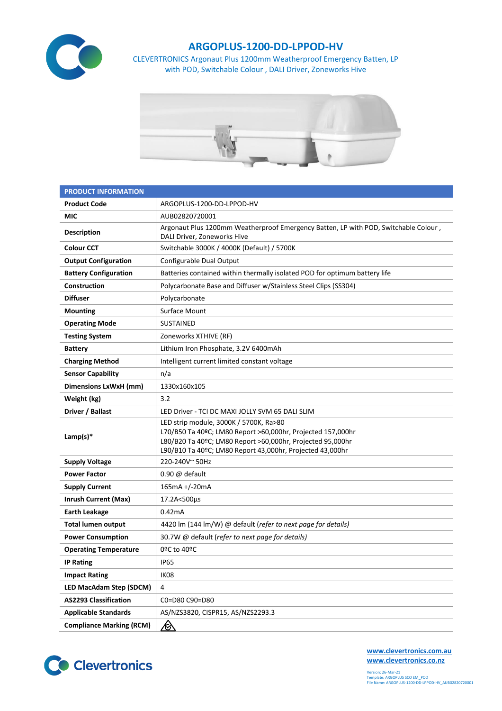

## **ARGOPLUS-1200-DD-LPPOD-HV**

CLEVERTRONICS Argonaut Plus 1200mm Weatherproof Emergency Batten, LP with POD, Switchable Colour , DALI Driver, Zoneworks Hive



| <b>PRODUCT INFORMATION</b>      |                                                                                                                                                                                                                                  |  |  |  |  |
|---------------------------------|----------------------------------------------------------------------------------------------------------------------------------------------------------------------------------------------------------------------------------|--|--|--|--|
| <b>Product Code</b>             | ARGOPLUS-1200-DD-LPPOD-HV                                                                                                                                                                                                        |  |  |  |  |
| MIC                             | AUB02820720001                                                                                                                                                                                                                   |  |  |  |  |
| <b>Description</b>              | Argonaut Plus 1200mm Weatherproof Emergency Batten, LP with POD, Switchable Colour,<br>DALI Driver, Zoneworks Hive                                                                                                               |  |  |  |  |
| <b>Colour CCT</b>               | Switchable 3000K / 4000K (Default) / 5700K                                                                                                                                                                                       |  |  |  |  |
| <b>Output Configuration</b>     | Configurable Dual Output                                                                                                                                                                                                         |  |  |  |  |
| <b>Battery Configuration</b>    | Batteries contained within thermally isolated POD for optimum battery life                                                                                                                                                       |  |  |  |  |
| Construction                    | Polycarbonate Base and Diffuser w/Stainless Steel Clips (SS304)                                                                                                                                                                  |  |  |  |  |
| <b>Diffuser</b>                 | Polycarbonate                                                                                                                                                                                                                    |  |  |  |  |
| <b>Mounting</b>                 | Surface Mount                                                                                                                                                                                                                    |  |  |  |  |
| <b>Operating Mode</b>           | <b>SUSTAINED</b>                                                                                                                                                                                                                 |  |  |  |  |
| <b>Testing System</b>           | Zoneworks XTHIVE (RF)                                                                                                                                                                                                            |  |  |  |  |
| <b>Battery</b>                  | Lithium Iron Phosphate, 3.2V 6400mAh                                                                                                                                                                                             |  |  |  |  |
| <b>Charging Method</b>          | Intelligent current limited constant voltage                                                                                                                                                                                     |  |  |  |  |
| <b>Sensor Capability</b>        | n/a                                                                                                                                                                                                                              |  |  |  |  |
| Dimensions LxWxH (mm)           | 1330x160x105                                                                                                                                                                                                                     |  |  |  |  |
| Weight (kg)                     | 3.2                                                                                                                                                                                                                              |  |  |  |  |
| Driver / Ballast                | LED Driver - TCI DC MAXI JOLLY SVM 65 DALI SLIM                                                                                                                                                                                  |  |  |  |  |
| Lamp(s) $*$                     | LED strip module, 3000K / 5700K, Ra>80<br>L70/B50 Ta 40ºC; LM80 Report >60,000hr, Projected 157,000hr<br>L80/B20 Ta 40ºC; LM80 Report >60,000hr, Projected 95,000hr<br>L90/B10 Ta 40ºC; LM80 Report 43,000hr, Projected 43,000hr |  |  |  |  |
| <b>Supply Voltage</b>           | 220-240V~50Hz                                                                                                                                                                                                                    |  |  |  |  |
| <b>Power Factor</b>             | 0.90 @ default                                                                                                                                                                                                                   |  |  |  |  |
| <b>Supply Current</b>           | 165mA +/-20mA                                                                                                                                                                                                                    |  |  |  |  |
| <b>Inrush Current (Max)</b>     | 17.2A<500µs                                                                                                                                                                                                                      |  |  |  |  |
| <b>Earth Leakage</b>            | 0.42mA                                                                                                                                                                                                                           |  |  |  |  |
| <b>Total lumen output</b>       | 4420 lm (144 lm/W) @ default (refer to next page for details)                                                                                                                                                                    |  |  |  |  |
| <b>Power Consumption</b>        | 30.7W @ default (refer to next page for details)                                                                                                                                                                                 |  |  |  |  |
| <b>Operating Temperature</b>    | 0ºC to 40ºC                                                                                                                                                                                                                      |  |  |  |  |
| <b>IP Rating</b>                | <b>IP65</b>                                                                                                                                                                                                                      |  |  |  |  |
| <b>Impact Rating</b>            | IK08                                                                                                                                                                                                                             |  |  |  |  |
| <b>LED MacAdam Step (SDCM)</b>  | 4                                                                                                                                                                                                                                |  |  |  |  |
| <b>AS2293 Classification</b>    | C0=D80 C90=D80                                                                                                                                                                                                                   |  |  |  |  |
| <b>Applicable Standards</b>     | AS/NZS3820, CISPR15, AS/NZS2293.3                                                                                                                                                                                                |  |  |  |  |
| <b>Compliance Marking (RCM)</b> | <u>/&amp;</u>                                                                                                                                                                                                                    |  |  |  |  |



**[www.clevertronics.com.au](http://www.clevertronics.com.au/) www.clevertronics.co.nz**

Version: 26-Mar-21 Template: ARGOPLUS SCO EM\_POD File Name: ARGOPLUS-1200-DD-LPPOD-HV\_AUB02820720001